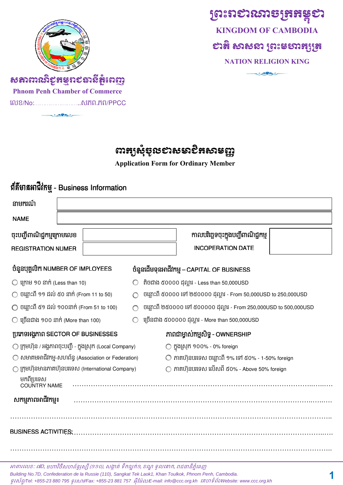

**ព្រះរា**ខារឆានគ្រូអន្ទុខា **KINGDOM OF CAMBODIA** សង្គុ សាសស ស្រះឧសាអុត្រេ **NATION RELIGION KING**

منحقين

# *សតាពារ*សិខ្**ភម្ម**រាខឆាសិ<del>ត្តំ</del>ពេញ **Phnom Penh Chamber of Commerce**

េលខ/No:……………………..សភព.ភព/PPCC

ices

# **ពារក្យសុំទ្**របខាសមាខិ<del>ត</del>សាមញ្ញ

**Application Form for Ordinary Member**

| ព័ត៌ិមានអាជីវកម្ម - Business Information                                                                                 |                                                            |  |  |  |
|--------------------------------------------------------------------------------------------------------------------------|------------------------------------------------------------|--|--|--|
| នាមករណ៍                                                                                                                  |                                                            |  |  |  |
| <b>NAME</b>                                                                                                              |                                                            |  |  |  |
| ចុះបញ្ជីពាណិជ្ជកម្មក្រោមលេខ                                                                                              | កាលបរិច្ឆេទចុះក្នុងបញ្ជីពាណិជ្ជកម្ម                        |  |  |  |
| <b>REGISTRATION NUMER</b>                                                                                                | <b>INCOPERATION DATE</b>                                   |  |  |  |
| បំនួនបុគ្គលិក NUMBER OF IMPLOYEES                                                                                        | ចំនួនដើមទុនអាជីវកម្ម – CAPITAL OF BUSINESS                 |  |  |  |
| $\bigcirc$ ក្រោម 90 នាក់ (Less than 10)                                                                                  | តិចជាង ៥០០០០ ដុល្លារ - Less than 50,000USD                 |  |  |  |
| $\bigcirc$ ចន្លោះពី ១១ ដល់ ៥០ នាក់ (From 11 to 50)<br>ចន្លោះពី ៥០០០០ ទៅ ២៥០០០០ ដុល្លារ - From 50,000USD to 250,000USD    |                                                            |  |  |  |
| $\bigcirc$ ចន្លោះពី ៥១ ដល់ ១០០នាក់ (From 51 to 100)<br>ចន្លោះពី ២៥០០០០ ទៅ ៥០០០០០ ដុល្លារ - From 250,000USD to 500,000USD |                                                            |  |  |  |
| $\bigcirc$ ច្រើនជាង ១០០ នាក់ (More than 100)<br>ប្រើនជាង ៥០០០០០ ដុល្លារ - More than 500,000USD                           |                                                            |  |  |  |
| ប្រភេទអង្គភាព SECTOR OF BUSINESSES                                                                                       | ភាពជាម្ចាស់កម្មសិទ្ធ - OWNERSHIP                           |  |  |  |
| $\bigcirc$ ក្រុមហ៊ុន / អង្គភាពចុះបញ្ជី - ក្នុងស្រុក (Local Company)                                                      | ◯ ក្នុងស្រុក ១០០% - 0% foreign                             |  |  |  |
| $\bigcirc$ សមាគមអាជីវកម្ម-សហព័ន្ធ (Association or Federation)                                                            | $\bigcirc$ ភាគហ៊ុនបរទេស ចន្លោះពី ១% ទៅ ៥០% - 1-50% foreign |  |  |  |
| ◯ ក្រុមហ៊ុនមានភាគហ៊ុនបរទេស (International Company)                                                                       | $\bigcirc$ ភាគហ៊ុនបរទេស លើសពី ៥០% - Above 50% foreign      |  |  |  |
| មកពីប្រទេស<br><b>COUNTRY NAME</b>                                                                                        |                                                            |  |  |  |
| សកម្មភាពអាជីវកម្ម៖                                                                                                       |                                                            |  |  |  |
| <b>BUSINESS ACTIVITIES:</b>                                                                                              |                                                            |  |  |  |

អាគារលេខ: ៧D, មហាវិថីសហព័ន្ធរុស្ស៊ី (១១០), សង្កាត់ ទឹកល្អក់១, ខណ្ឌ ទូលគោក, រាជធានីភ្នំពេញ *Building No.7D, Confederation de la Russie (110), Sangkat Tek Laok1, Khan Toulkok, Phnom Penh, Cambodia.*  $g$ វស័ព្ទ/Tel: +855-23 880 795  $g$ វសាវ/Fax: +855-23 881 757 អ៊ីវ៉ៃម៉ាប/E-mail: info@ccc.org.kh រគហ ទំព័រ/Website: www.ccc.org.kh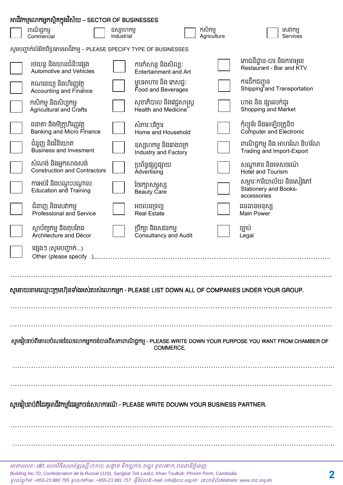| អាជីវកម្មលោកអ្នកស្ថិតក្នុងវិស័យ – SECTOR OF BUSINESSES                                                                     |                                                                      |                          |                                                  |                        |                                                                   |  |  |
|----------------------------------------------------------------------------------------------------------------------------|----------------------------------------------------------------------|--------------------------|--------------------------------------------------|------------------------|-------------------------------------------------------------------|--|--|
|                                                                                                                            | ពាណិជ្ជកម្ម<br>Commercial                                            | ឧស្សាហកម្ម<br>Industrial |                                                  | កសិកម្ម<br>Agriculture | សេវាកម្ម<br>Services                                              |  |  |
|                                                                                                                            | សូមបញ្ជាក់លំអិតពីប្រភេទអាជីវកម្ម – PLEASE SPECIFY TYPE OF BUSINESSES |                          |                                                  |                        |                                                                   |  |  |
|                                                                                                                            | រថយន្ត និងយានជំនិះផ្សេង<br>Automotive and Vehicles                   |                          | ការកំសាន្ត និងសិល្បៈ<br>Entertainment and Art    |                        | ភោជនីដ្ឋាន-បារ និងការាអូខេ<br>Restaurant - Bar and KTV            |  |  |
|                                                                                                                            | គណនេយ្យ និងហិរញ្ញវត្ថ<br>Accounting and Finance                      |                          | ម្ហូបអាហារ និង ភេសជ្ជៈ<br>Food and Beverages     |                        | ការដឹកជញ្ជូន<br>Shipping and Transportation                       |  |  |
|                                                                                                                            | កសិកម្ម និងសិប្បកម្ម<br><b>Agricultural and Crafts</b>               |                          | សុខាភិបាល និងវេជ្ជសាស្ត្រ<br>Health and Medicine |                        | ហាង និង ផ្សារលក់ដូរ<br>Shopping and Market                        |  |  |
|                                                                                                                            | ធនាគា និងមីក្រូហិរញ្ញវត្ថុ<br>Banking and Micro Finance              |                          | សំភារៈបរិក្ខារ<br>Home and Household             |                        | កុំព្យូទ័រ និងអេឡិចត្រូនិច<br>Computer and Electronic             |  |  |
|                                                                                                                            | ជំនួញ និងវិនិយោគ<br><b>Business and Invesment</b>                    |                          | ឧស្សហកម្ម និងរោងចក្រ<br>Industry and Factory     |                        | ពាណិជ្ជកម្ម និង អាហរ័ណ និហរ័ណ<br>Trading and Import-Export        |  |  |
|                                                                                                                            | សំណង់ និងអ្នកសាងសង់<br>Construction and Contractors                  |                          | ប្រព័ន្ធផ្សព្វផ្សាយ<br>Advertising               |                        | សណ្ឋាគារ និងទេសចរណ៍<br>Hotel and Tourism                          |  |  |
|                                                                                                                            | ការអប់រំ និងបណ្តុះបណ្តាល<br>Education and Training                   |                          | ថែរក្សាសម្ផស្ស<br><b>Beauty Care</b>             |                        | សម្ភារៈការិយាល័យ និងសៀវភៅ<br>Stationery and Books-<br>accessories |  |  |
|                                                                                                                            | ជំនាញ និងសេវាកម្ម<br><b>Professional and Service</b>                 |                          | អចលនទ្រព្យ<br><b>Real Estate</b>                 |                        | ធនធានមនុស្ស<br><b>Main Power</b>                                  |  |  |
|                                                                                                                            | ស្ថាប័ត្យកម្ម និងតុបតែង<br>Architecture and Décor                    |                          | ប្រឹក្សា និងសវនកម្ម<br>Consultancy and Audit     |                        | ច្បាប់<br>Legal                                                   |  |  |
|                                                                                                                            | ផ្សេងៗ (សូមបញ្ចាក់)                                                  |                          |                                                  |                        |                                                                   |  |  |
|                                                                                                                            |                                                                      |                          |                                                  |                        |                                                                   |  |  |
| សូមរាយនាមឈ្មោះក្រុមហ៊ុនទាំងអស់់របស់់លោកអ្នក - PLEASE LIST DOWN ALL OF COMPANIES UNDER YOUR GROUP.                          |                                                                      |                          |                                                  |                        |                                                                   |  |  |
|                                                                                                                            |                                                                      |                          |                                                  |                        |                                                                   |  |  |
|                                                                                                                            |                                                                      |                          |                                                  |                        |                                                                   |  |  |
| សូមវៀបរាប់ពីគោលបំណងដែលលោកអ្នកចង់បានពីសភាពាណិជ្ជកម្ម - PLEASE WRITE DOWN YOUR PURPOSE YOU WANT FROM CHAMBER OF<br>COMMERCE. |                                                                      |                          |                                                  |                        |                                                                   |  |  |
|                                                                                                                            |                                                                      |                          |                                                  |                        |                                                                   |  |  |
|                                                                                                                            |                                                                      |                          |                                                  |                        |                                                                   |  |  |
| សូមរៀបរាប់ពិដៃគូអាជីវកម្មដែរអ្នកចង់សហការណ៍ - PLEASE WRITE DOUWN YOUR BUSINESS PARTNER.                                     |                                                                      |                          |                                                  |                        |                                                                   |  |  |
|                                                                                                                            |                                                                      |                          |                                                  |                        |                                                                   |  |  |
|                                                                                                                            |                                                                      |                          |                                                  |                        |                                                                   |  |  |
|                                                                                                                            |                                                                      |                          |                                                  |                        |                                                                   |  |  |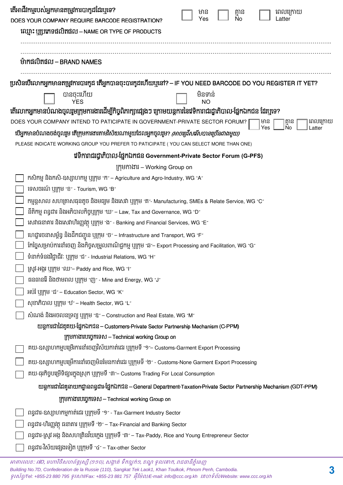| តើអាជីវកម្មរបស់អ្នកមានតម្រូវការបាកូដដែរឬទេ?<br>DOES YOUR COMPANY REQUIRE BARCODE REGISTRATION?                                                                                                           | ពេលក្រោយ<br>មាន<br>គ្មាន<br>No<br>Yes<br>Latter                                                                      |  |  |  |  |  |  |
|----------------------------------------------------------------------------------------------------------------------------------------------------------------------------------------------------------|----------------------------------------------------------------------------------------------------------------------|--|--|--|--|--|--|
| ឈ្មោះ ឬប្រភេទផលិតផល – NAME OR TYPE OF PRODUCTS                                                                                                                                                           |                                                                                                                      |  |  |  |  |  |  |
| ម៉ាកផលិតផល – BRAND NAMES                                                                                                                                                                                 |                                                                                                                      |  |  |  |  |  |  |
| ប្រសិនបើលោកអ្នកមានតម្រូវការបារកូដ តើអ្នកបានចុះបារកូដហើយឬនៅ? – IF YOU NEED BARCODE DO YOU REGISTER IT YET?                                                                                                |                                                                                                                      |  |  |  |  |  |  |
| បានចុះហើយ<br><b>YFS</b>                                                                                                                                                                                  | មិនទាន់<br>NO                                                                                                        |  |  |  |  |  |  |
| តើលោកអ្នកមានបំណងចូលរួមក្រុមការងារដើម្បីកិច្ចពិភាក្សាផ្សេងៗ ក្រោមយន្តការនៃវេទិការាជរដ្ឋាភិបាល-ផ្នែកឯកជន ដែរឬទេ?                                                                                           |                                                                                                                      |  |  |  |  |  |  |
| DOES YOUR COMPANY INTEND TO PATICIPATE IN GOVERNMENT-PRIVATE SECTOR FORUM?                                                                                                                               | មាន<br>គ្មាន<br>No<br>ពេលក្រោយ<br>Yes                                                                                |  |  |  |  |  |  |
| បើអ្នកមានបំណងចង់ចូលរួម តើក្រុមការងារតាមវិស័យណាមួយដែលអ្នកចូលរួម? <i>(អាចជ្រើសរើសបានច្រើនជាងមួយ)</i>                                                                                                       | atter                                                                                                                |  |  |  |  |  |  |
| PLEASE INDICATE WORKING GROUP YOU PREFER TO PATICIPATE (YOU CAN SELECT MORE THAN ONE)                                                                                                                    |                                                                                                                      |  |  |  |  |  |  |
| វៅទិការាជរដ្ធាភិបាល-ផ្នែកឯកជន Government-Private Sector Forum (G-PFS)                                                                                                                                    |                                                                                                                      |  |  |  |  |  |  |
| ក្រុមកាងារ – Working Group on                                                                                                                                                                            |                                                                                                                      |  |  |  |  |  |  |
| កសិកម្ម និងកសិ-ឧស្សាហកម្ម ឬក្រុម "ក" – Agriculture and Agro-Industry, WG "A"                                                                                                                             |                                                                                                                      |  |  |  |  |  |  |
| ទេសចរណ៍ ប្បក្កម "ខ" - Tourism, WG "B"                                                                                                                                                                    |                                                                                                                      |  |  |  |  |  |  |
| កម្មន្តសាល សហគ្រាសធុនតូច និងមធ្យម និងសេវា ឬក្រុម "គ"- Manufacturing, SMEs & Relate Service, WG "C"<br>នីតិកម្ម ពន្ធដារ និងអភិបាលកិច្ចប្បក្កម "ឃ $^{\prime}$ – Law, Tax and Governance, WG "D $^{\prime}$ |                                                                                                                      |  |  |  |  |  |  |
| សេវាធនាគារ និងសេវាហិរញ្ញវត្ថុ ឬក្រុម "ង" - Banking and Financial Services, WG "E"                                                                                                                        |                                                                                                                      |  |  |  |  |  |  |
| ហេដ្ឋារចនាសម្ព័ន្ធ និងដឹកជញ្ជូន ឬក្រុម "ច $^{\circ}$ – Infrastructure and Transport, WG "F $^{\circ}$                                                                                                    |                                                                                                                      |  |  |  |  |  |  |
| កែច្នៃសម្រាប់ការនាំចេញ និងកិច្ចសម្រួលពាណិជ្ជកម្ម បុក្រុម "ឆ"– Export Processing and Facilitation, WG "G"                                                                                                 |                                                                                                                      |  |  |  |  |  |  |
| ទំនាក់ទំនងវិជ្ជាជីវៈ ប្បុក្កម "ជិ $^{\prime}$ - Industrial Relations, WG "H $^{\prime}$                                                                                                                  |                                                                                                                      |  |  |  |  |  |  |
| ស្រូវ-អង្គរ ប្យក្រុម "ឈ - Paddy and Rice, WG "I"                                                                                                                                                         |                                                                                                                      |  |  |  |  |  |  |
| ធនធានរ៉ៃ និងថាមពល ឬក្រុម "ញ" - Mine and Energy, WG "J"                                                                                                                                                   |                                                                                                                      |  |  |  |  |  |  |
| អប់រំ ឬក្រុម "ដំ" – Education Sector, WG "K"                                                                                                                                                             |                                                                                                                      |  |  |  |  |  |  |
| សុខាភិបាល ប្បក្កម "ឋ" – Health Sector, WG "L"                                                                                                                                                            |                                                                                                                      |  |  |  |  |  |  |
| សំណង់ និងអចលនទ្រព្យ ប្យក្រុម "ឌ″ – Construction and Real Estate, WG "M″                                                                                                                                  |                                                                                                                      |  |  |  |  |  |  |
| យន្តការជាដៃគូគយ-ផ្នែកឯកជន – Customers-Private Sector Partnership Mechanism (C-PPM)                                                                                                                       |                                                                                                                      |  |  |  |  |  |  |
| ក្រុមកាងារបច្ចេកទេស – Technical working Group on<br>គយ-ឧស្សាហកម្មបម្រើរការនាំចេញវិស័យកាត់ដេរ ឬក្រុមទី "១″– Customs-Garment Export Processing                                                             |                                                                                                                      |  |  |  |  |  |  |
|                                                                                                                                                                                                          |                                                                                                                      |  |  |  |  |  |  |
| គយ-ឧស្សាហកម្មបម្រើការនាំចេញមិនមែនកាត់ដេរ ឬក្រុមទី "២" - Customs-None Garment Export Processing                                                                                                           |                                                                                                                      |  |  |  |  |  |  |
| គយ-ធុរកិច្ចបម្រើទិផ្សារក្នុងស្រុក ឬក្រុមទី "៣"– Customs Trading For Local Consumption                                                                                                                    |                                                                                                                      |  |  |  |  |  |  |
|                                                                                                                                                                                                          | យន្តការជាដៃគូនាយកដ្ឋានពន្ធដារ-ផ្នែកឯកជន - General Department-Taxation-Private Sector Partnership Mechanism (GDT-PPM) |  |  |  |  |  |  |
| ក្រុមកាងារបច្ចេកទេស – Technical working Group on                                                                                                                                                         |                                                                                                                      |  |  |  |  |  |  |
| ពន្ធដារ-ឧស្សាហកម្មកាត់ដេរ ឬក្រុមទី `9″ - Tax-Garment Industry Sector                                                                                                                                     |                                                                                                                      |  |  |  |  |  |  |
| ពន្ធដារ-ហិរញ្ញវត្ថុ ធនាគារ ឬក្រុមទី "២" – Tax-Financial and Banking Sector                                                                                                                               |                                                                                                                      |  |  |  |  |  |  |
| ពន្ធដារ-ស្រូវ អង្ក និងសហគ្រិនវ័យក្មេង ឬក្រុមទី «៣» – Tax-Paddy, Rice and Young Entrepreneur Sector                                                                                                       |                                                                                                                      |  |  |  |  |  |  |
| ពន្ធដារ-វិស័យផ្សេងទៀត ឬក្រុមទី «៤» – Tax-other Sector                                                                                                                                                    |                                                                                                                      |  |  |  |  |  |  |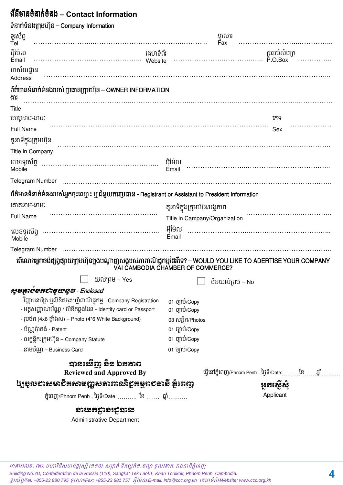# **– Contact Information**

| ទំនាក់ទំនងក្រុមហ៊ុន – Company Information                                                             |                                                                                                                                                       |  |  |
|-------------------------------------------------------------------------------------------------------|-------------------------------------------------------------------------------------------------------------------------------------------------------|--|--|
| ទូរស័ព្ទ<br>Tel                                                                                       | ឡូសោរ                                                                                                                                                 |  |  |
| អ៊ីម៉ែល<br>គេហទំព័រ<br>Email                                                                          | Fax                                                                                                                                                   |  |  |
| អាស័យដ្ឋាន<br><b>Address</b>                                                                          |                                                                                                                                                       |  |  |
| ព័ត៌មានទំនាក់ទំនងរបស់ ប្រធានក្រុមហ៊ុន – OWNER INFORMATION<br>ងារ                                      |                                                                                                                                                       |  |  |
| Title                                                                                                 |                                                                                                                                                       |  |  |
| គោត្តនាម-នាមៈ                                                                                         | រភទ                                                                                                                                                   |  |  |
| <b>Full Name</b>                                                                                      | Sex                                                                                                                                                   |  |  |
| តួនាទីក្នុងក្រុមហ៊ុន                                                                                  |                                                                                                                                                       |  |  |
| Title in Company                                                                                      |                                                                                                                                                       |  |  |
| Mobile                                                                                                |                                                                                                                                                       |  |  |
|                                                                                                       |                                                                                                                                                       |  |  |
| ព័ត៌មានទំនាក់ទំនងរបស់អ្នកចុះឈ្មោះ ឬ ជំនួយការប្រធាន - Registrant or Assistant to President Information |                                                                                                                                                       |  |  |
| គោតនាម-នាមៈ                                                                                           | តួនាទីក្នុងក្រុមហ៊ុន/អង្គភាព                                                                                                                          |  |  |
| Full Name                                                                                             | Title in Campany/Organization                                                                                                                         |  |  |
| Mobile                                                                                                | Email                                                                                                                                                 |  |  |
| Telegram Number (and according to the contract of the contract of the Telegram Number                 |                                                                                                                                                       |  |  |
|                                                                                                       | តើលោកអ្នកចង់ផ្សព្វផ្សាយក្រុមហ៊ុនក្នុងបណ្តាញសង្គមសភាពាណិជ្ជកម្មដែររឺទេ? – WOULD YOU LIKE TO ADERTISE YOUR COMPANY<br>VAI CAMBODIA CHAMBER OF COMMERCE? |  |  |
|                                                                                                       | $\Box$ យល់ព្រម – Yes $\Box$ មិនយល់ព្រម – No                                                                                                           |  |  |
| សូមត្ថាប់មកបាមូយលូទ - Enclosed                                                                        |                                                                                                                                                       |  |  |
| - វិញ្ញាបនប័ត្រ ឬលិខិតចុះបញ្ជីពាណិជ្ជកម្ម - Company Registration                                      | 01 ច្បាប់/Copy                                                                                                                                        |  |  |
| - អត្តសញ្ញាណប័ណ្ណ / លិខិតឆ្លងដែន - Identity card or Passport                                          | 01 ប៊្បាប់/Copy                                                                                                                                       |  |  |
| - រូបថិត (4x6 ផ្ទាំងស) – Photo (4*6 White Background)                                                 | 03 សន្លឹក/Photos                                                                                                                                      |  |  |
| - ប័ណ្ណប៉ាតង់ - Patent                                                                                | 01 ប៊្បាប់/Copy                                                                                                                                       |  |  |
| - លក្ខន្តិកៈក្រុមហ៊ុន – Company Statute                                                               | 01 ប៊្បាប់/Copy                                                                                                                                       |  |  |
| - នាមប័ណ្ណ – Business Card                                                                            | 01 ច្បាប់/Copy                                                                                                                                        |  |  |
| បានមេទីញ និខ ឯកតាព<br><b>Reviewed and Approved By</b>                                                 | ធ្វើនៅភ្នំពេញ/Phnom Penh , ថ្ងៃទី/Date: ខ្មែ ឆ្នាំ                                                                                                    |  |  |
| ៤ច្រុលខាសមាខិតសាមញ្ញសតាពារសិខ្ទុកម្មុពខចាតិ តុំពេញ                                                    | អូតស្កើសុំ                                                                                                                                            |  |  |
| ភ្នំពេញ/Phnom Penh , ថ្ងៃទី/Date:  ខែ  ឆ្នាំ                                                          | Applicant                                                                                                                                             |  |  |
| សនាដូងមើលនេ<br><b>Administrative Department</b>                                                       |                                                                                                                                                       |  |  |